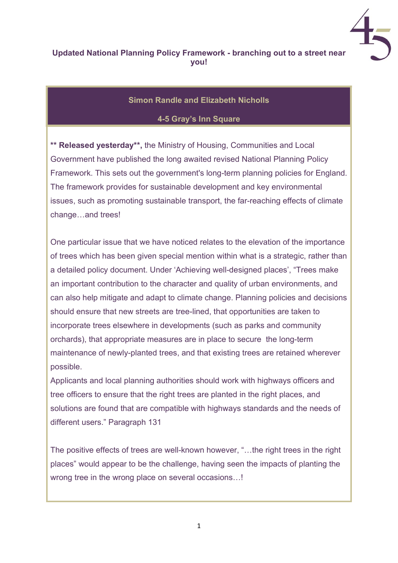

## Updated National Planning Policy Framework - branching out to a street near you!

## Simon Randle and Elizabeth Nicholls

## 4-5 Gray's Inn Square

\*\* Released yesterday\*\*, the Ministry of Housing, Communities and Local Government have published the long awaited revised National Planning Policy Framework. This sets out the government's long-term planning policies for England. The framework provides for sustainable development and key environmental issues, such as promoting sustainable transport, the far-reaching effects of climate change…and trees!

One particular issue that we have noticed relates to the elevation of the importance of trees which has been given special mention within what is a strategic, rather than a detailed policy document. Under 'Achieving well-designed places', "Trees make an important contribution to the character and quality of urban environments, and can also help mitigate and adapt to climate change. Planning policies and decisions should ensure that new streets are tree-lined, that opportunities are taken to incorporate trees elsewhere in developments (such as parks and community orchards), that appropriate measures are in place to secure the long-term maintenance of newly-planted trees, and that existing trees are retained wherever possible.

Applicants and local planning authorities should work with highways officers and tree officers to ensure that the right trees are planted in the right places, and solutions are found that are compatible with highways standards and the needs of different users." Paragraph 131

The positive effects of trees are well-known however, "…the right trees in the right places" would appear to be the challenge, having seen the impacts of planting the wrong tree in the wrong place on several occasions...!